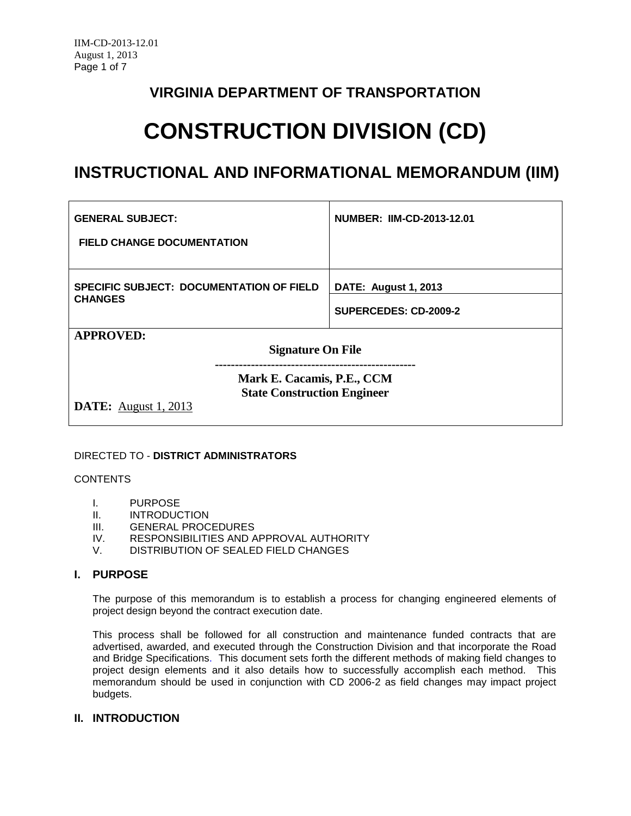# **VIRGINIA DEPARTMENT OF TRANSPORTATION**

# **CONSTRUCTION DIVISION (CD)**

# **INSTRUCTIONAL AND INFORMATIONAL MEMORANDUM (IIM)**

| <b>GENERAL SUBJECT:</b>                                                                         | NUMBER: IIM-CD-2013-12.01   |
|-------------------------------------------------------------------------------------------------|-----------------------------|
| <b>FIELD CHANGE DOCUMENTATION</b>                                                               |                             |
|                                                                                                 |                             |
| <b>SPECIFIC SUBJECT: DOCUMENTATION OF FIELD</b>                                                 | <b>DATE: August 1, 2013</b> |
| <b>CHANGES</b>                                                                                  | SUPERCEDES: CD-2009-2       |
| <b>APPROVED:</b>                                                                                |                             |
| <b>Signature On File</b>                                                                        |                             |
| Mark E. Cacamis, P.E., CCM<br><b>State Construction Engineer</b><br><b>DATE:</b> August 1, 2013 |                             |

# DIRECTED TO - **DISTRICT ADMINISTRATORS**

#### CONTENTS

- I. PURPOSE
- II. INTRODUCTION<br>III. GENERAL PROC
- GENERAL PROCEDURES
- IV. RESPONSIBILITIES AND APPROVAL AUTHORITY<br>V. DISTRIBUTION OF SEALED FIELD CHANGES
- DISTRIBUTION OF SEALED FIELD CHANGES

# **I. PURPOSE**

The purpose of this memorandum is to establish a process for changing engineered elements of project design beyond the contract execution date.

This process shall be followed for all construction and maintenance funded contracts that are advertised, awarded, and executed through the Construction Division and that incorporate the Road and Bridge Specifications. This document sets forth the different methods of making field changes to project design elements and it also details how to successfully accomplish each method. This memorandum should be used in conjunction with CD 2006-2 as field changes may impact project budgets.

# **II. INTRODUCTION**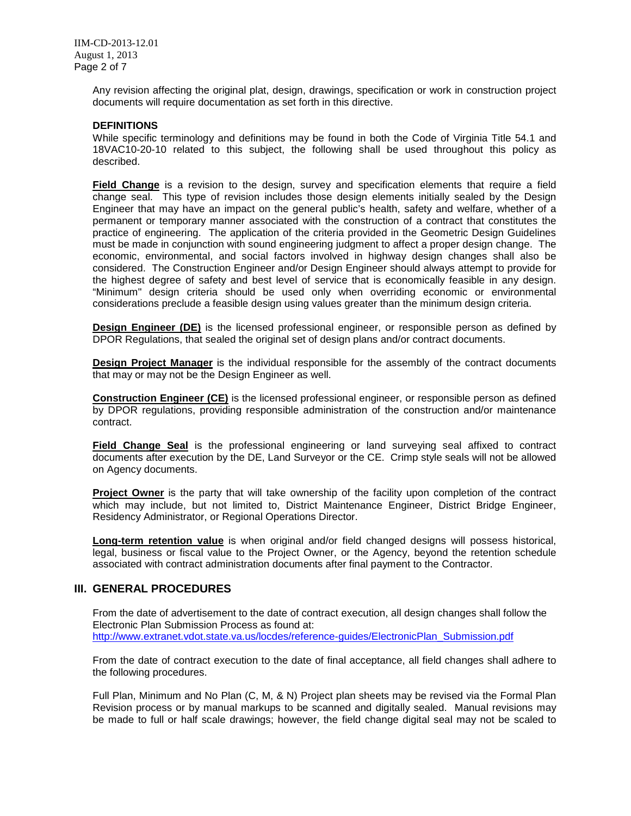Any revision affecting the original plat, design, drawings, specification or work in construction project documents will require documentation as set forth in this directive.

#### **DEFINITIONS**

While specific terminology and definitions may be found in both the Code of Virginia Title 54.1 and 18VAC10-20-10 related to this subject, the following shall be used throughout this policy as described.

**Field Change** is a revision to the design, survey and specification elements that require a field change seal. This type of revision includes those design elements initially sealed by the Design Engineer that may have an impact on the general public's health, safety and welfare, whether of a permanent or temporary manner associated with the construction of a contract that constitutes the practice of engineering. The application of the criteria provided in the Geometric Design Guidelines must be made in conjunction with sound engineering judgment to affect a proper design change. The economic, environmental, and social factors involved in highway design changes shall also be considered. The Construction Engineer and/or Design Engineer should always attempt to provide for the highest degree of safety and best level of service that is economically feasible in any design. "Minimum" design criteria should be used only when overriding economic or environmental considerations preclude a feasible design using values greater than the minimum design criteria.

**Design Engineer (DE)** is the licensed professional engineer, or responsible person as defined by DPOR Regulations, that sealed the original set of design plans and/or contract documents.

**Design Project Manager** is the individual responsible for the assembly of the contract documents that may or may not be the Design Engineer as well.

**Construction Engineer (CE)** is the licensed professional engineer, or responsible person as defined by DPOR regulations, providing responsible administration of the construction and/or maintenance contract.

**Field Change Seal** is the professional engineering or land surveying seal affixed to contract documents after execution by the DE, Land Surveyor or the CE. Crimp style seals will not be allowed on Agency documents.

**Project Owner** is the party that will take ownership of the facility upon completion of the contract which may include, but not limited to, District Maintenance Engineer, District Bridge Engineer, Residency Administrator, or Regional Operations Director.

**Long-term retention value** is when original and/or field changed designs will possess historical, legal, business or fiscal value to the Project Owner, or the Agency, beyond the retention schedule associated with contract administration documents after final payment to the Contractor.

### **III. GENERAL PROCEDURES**

From the date of advertisement to the date of contract execution, all design changes shall follow the Electronic Plan Submission Process as found at: [http://www.extranet.vdot.state.va.us/locdes/reference-guides/ElectronicPlan\\_Submission.pdf](http://www.extranet.vdot.state.va.us/locdes/reference-guides/ElectronicPlan_Submission.pdf)

From the date of contract execution to the date of final acceptance, all field changes shall adhere to the following procedures.

Full Plan, Minimum and No Plan (C, M, & N) Project plan sheets may be revised via the Formal Plan Revision process or by manual markups to be scanned and digitally sealed. Manual revisions may be made to full or half scale drawings; however, the field change digital seal may not be scaled to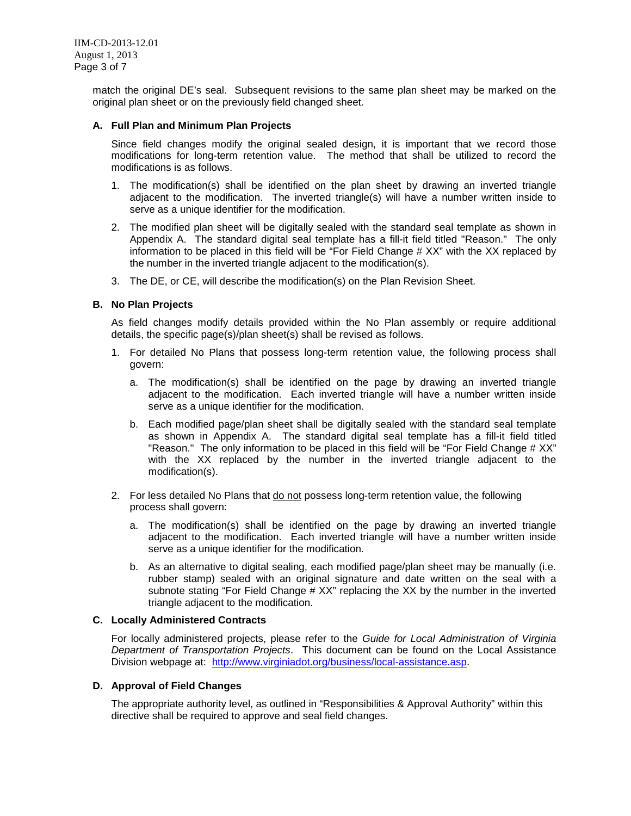match the original DE's seal. Subsequent revisions to the same plan sheet may be marked on the original plan sheet or on the previously field changed sheet.

#### **A. Full Plan and Minimum Plan Projects**

Since field changes modify the original sealed design, it is important that we record those modifications for long-term retention value. The method that shall be utilized to record the modifications is as follows.

- 1. The modification(s) shall be identified on the plan sheet by drawing an inverted triangle adjacent to the modification. The inverted triangle(s) will have a number written inside to serve as a unique identifier for the modification.
- 2. The modified plan sheet will be digitally sealed with the standard seal template as shown in Appendix A. The standard digital seal template has a fill-it field titled "Reason." The only information to be placed in this field will be "For Field Change # XX" with the XX replaced by the number in the inverted triangle adjacent to the modification(s).
- 3. The DE, or CE, will describe the modification(s) on the Plan Revision Sheet.

#### **B. No Plan Projects**

As field changes modify details provided within the No Plan assembly or require additional details, the specific page(s)/plan sheet(s) shall be revised as follows.

- 1. For detailed No Plans that possess long-term retention value, the following process shall govern:
	- a. The modification(s) shall be identified on the page by drawing an inverted triangle adjacent to the modification. Each inverted triangle will have a number written inside serve as a unique identifier for the modification.
	- b. Each modified page/plan sheet shall be digitally sealed with the standard seal template as shown in Appendix A. The standard digital seal template has a fill-it field titled "Reason." The only information to be placed in this field will be "For Field Change # XX" with the XX replaced by the number in the inverted triangle adjacent to the modification(s).
- 2. For less detailed No Plans that do not possess long-term retention value, the following process shall govern:
	- a. The modification(s) shall be identified on the page by drawing an inverted triangle adjacent to the modification. Each inverted triangle will have a number written inside serve as a unique identifier for the modification.
	- b. As an alternative to digital sealing, each modified page/plan sheet may be manually (i.e. rubber stamp) sealed with an original signature and date written on the seal with a subnote stating "For Field Change # XX" replacing the XX by the number in the inverted triangle adjacent to the modification.

#### **C. Locally Administered Contracts**

For locally administered projects, please refer to the *Guide for Local Administration of Virginia Department of Transportation Projects*. This document can be found on the Local Assistance Division webpage at: [http://www.virginiadot.org/business/local-assistance.asp.](http://www.virginiadot.org/business/local-assistance.asp)

#### **D. Approval of Field Changes**

The appropriate authority level, as outlined in "Responsibilities & Approval Authority" within this directive shall be required to approve and seal field changes.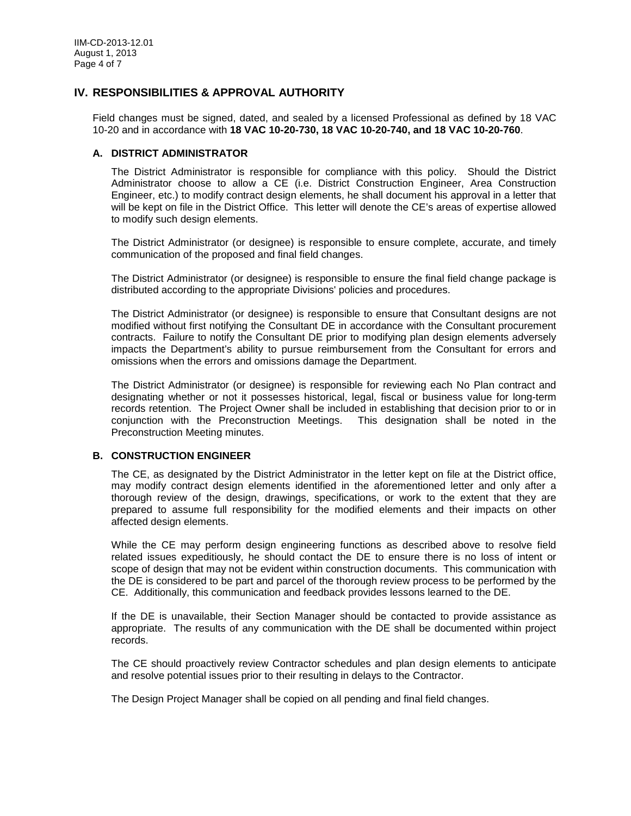# **IV. RESPONSIBILITIES & APPROVAL AUTHORITY**

Field changes must be signed, dated, and sealed by a licensed Professional as defined by 18 VAC 10-20 and in accordance with **18 VAC 10-20-730, 18 VAC 10-20-740, and 18 VAC 10-20-760**.

#### **A. DISTRICT ADMINISTRATOR**

The District Administrator is responsible for compliance with this policy. Should the District Administrator choose to allow a CE (i.e. District Construction Engineer, Area Construction Engineer, etc.) to modify contract design elements, he shall document his approval in a letter that will be kept on file in the District Office. This letter will denote the CE's areas of expertise allowed to modify such design elements.

The District Administrator (or designee) is responsible to ensure complete, accurate, and timely communication of the proposed and final field changes.

The District Administrator (or designee) is responsible to ensure the final field change package is distributed according to the appropriate Divisions' policies and procedures.

The District Administrator (or designee) is responsible to ensure that Consultant designs are not modified without first notifying the Consultant DE in accordance with the Consultant procurement contracts. Failure to notify the Consultant DE prior to modifying plan design elements adversely impacts the Department's ability to pursue reimbursement from the Consultant for errors and omissions when the errors and omissions damage the Department.

The District Administrator (or designee) is responsible for reviewing each No Plan contract and designating whether or not it possesses historical, legal, fiscal or business value for long-term records retention. The Project Owner shall be included in establishing that decision prior to or in conjunction with the Preconstruction Meetings. This designation shall be noted in the Preconstruction Meeting minutes.

#### **B. CONSTRUCTION ENGINEER**

The CE, as designated by the District Administrator in the letter kept on file at the District office, may modify contract design elements identified in the aforementioned letter and only after a thorough review of the design, drawings, specifications, or work to the extent that they are prepared to assume full responsibility for the modified elements and their impacts on other affected design elements.

While the CE may perform design engineering functions as described above to resolve field related issues expeditiously, he should contact the DE to ensure there is no loss of intent or scope of design that may not be evident within construction documents. This communication with the DE is considered to be part and parcel of the thorough review process to be performed by the CE. Additionally, this communication and feedback provides lessons learned to the DE.

If the DE is unavailable, their Section Manager should be contacted to provide assistance as appropriate. The results of any communication with the DE shall be documented within project records.

The CE should proactively review Contractor schedules and plan design elements to anticipate and resolve potential issues prior to their resulting in delays to the Contractor.

The Design Project Manager shall be copied on all pending and final field changes.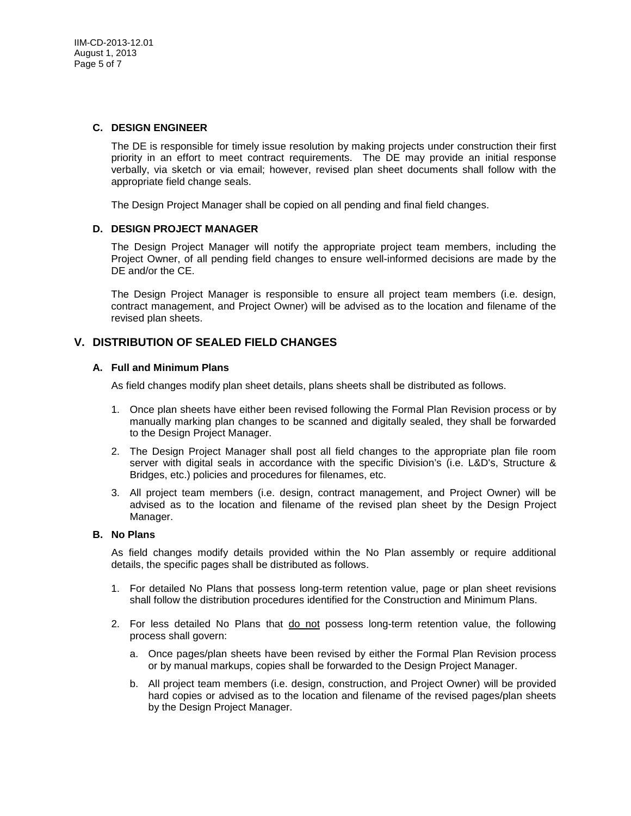#### **C. DESIGN ENGINEER**

The DE is responsible for timely issue resolution by making projects under construction their first priority in an effort to meet contract requirements. The DE may provide an initial response verbally, via sketch or via email; however, revised plan sheet documents shall follow with the appropriate field change seals.

The Design Project Manager shall be copied on all pending and final field changes.

#### **D. DESIGN PROJECT MANAGER**

The Design Project Manager will notify the appropriate project team members, including the Project Owner, of all pending field changes to ensure well-informed decisions are made by the DE and/or the CE.

The Design Project Manager is responsible to ensure all project team members (i.e. design, contract management, and Project Owner) will be advised as to the location and filename of the revised plan sheets.

### **V. DISTRIBUTION OF SEALED FIELD CHANGES**

#### **A. Full and Minimum Plans**

As field changes modify plan sheet details, plans sheets shall be distributed as follows.

- 1. Once plan sheets have either been revised following the Formal Plan Revision process or by manually marking plan changes to be scanned and digitally sealed, they shall be forwarded to the Design Project Manager.
- 2. The Design Project Manager shall post all field changes to the appropriate plan file room server with digital seals in accordance with the specific Division's (i.e. L&D's, Structure & Bridges, etc.) policies and procedures for filenames, etc.
- 3. All project team members (i.e. design, contract management, and Project Owner) will be advised as to the location and filename of the revised plan sheet by the Design Project Manager.

#### **B. No Plans**

As field changes modify details provided within the No Plan assembly or require additional details, the specific pages shall be distributed as follows.

- 1. For detailed No Plans that possess long-term retention value, page or plan sheet revisions shall follow the distribution procedures identified for the Construction and Minimum Plans.
- 2. For less detailed No Plans that do not possess long-term retention value, the following process shall govern:
	- a. Once pages/plan sheets have been revised by either the Formal Plan Revision process or by manual markups, copies shall be forwarded to the Design Project Manager.
	- b. All project team members (i.e. design, construction, and Project Owner) will be provided hard copies or advised as to the location and filename of the revised pages/plan sheets by the Design Project Manager.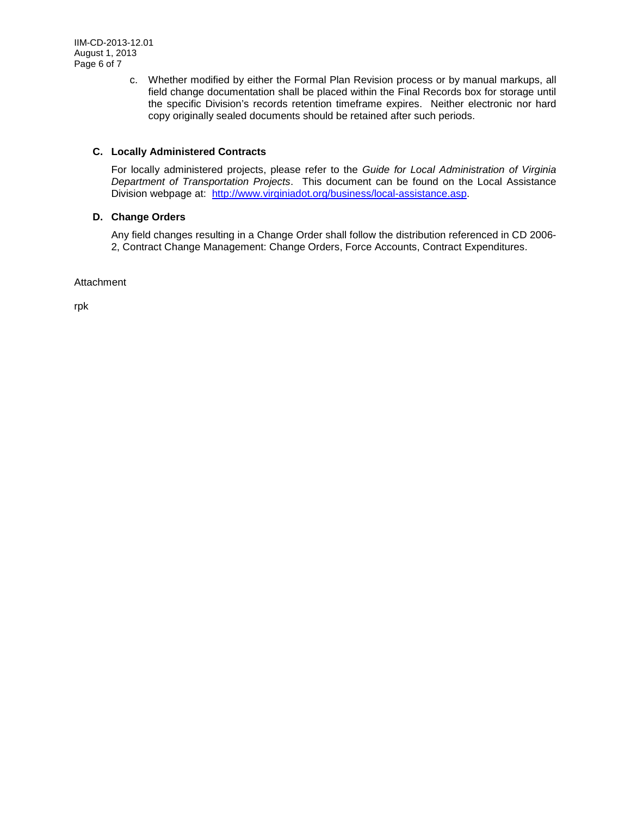c. Whether modified by either the Formal Plan Revision process or by manual markups, all field change documentation shall be placed within the Final Records box for storage until the specific Division's records retention timeframe expires. Neither electronic nor hard copy originally sealed documents should be retained after such periods.

# **C. Locally Administered Contracts**

For locally administered projects, please refer to the *Guide for Local Administration of Virginia Department of Transportation Projects*. This document can be found on the Local Assistance Division webpage at: [http://www.virginiadot.org/business/local-assistance.asp.](http://www.virginiadot.org/business/local-assistance.asp)

# **D. Change Orders**

Any field changes resulting in a Change Order shall follow the distribution referenced in CD 2006- 2, Contract Change Management: Change Orders, Force Accounts, Contract Expenditures.

**Attachment** 

rpk